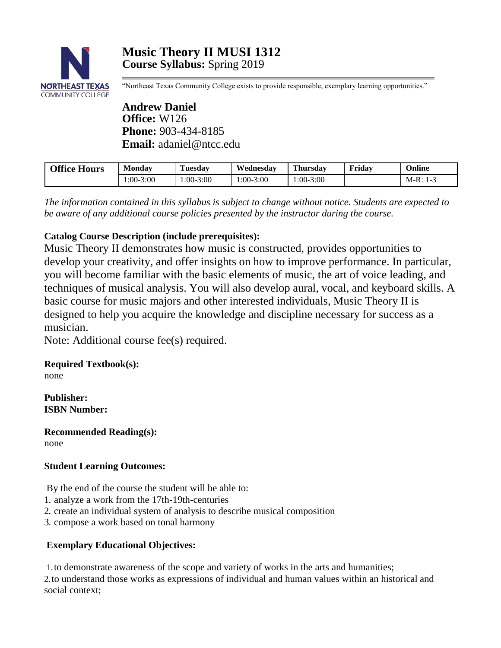

"Northeast Texas Community College exists to provide responsible, exemplary learning opportunities."

**Andrew Daniel Office:** W126 **Phone:** 903-434-8185 **Email:** [adaniel@ntcc.edu](mailto:adaniel@ntcc.edu)

| <b>Office Hours</b> | Monday     | Tuesdav     | Wednesdav  | <b>Thursday</b> | Fridav | Online                |
|---------------------|------------|-------------|------------|-----------------|--------|-----------------------|
|                     | $:00-3:00$ | $1:00-3:00$ | $:00-3:00$ | $1:00-3:00$     |        | $M-R:1$<br>. <b>.</b> |

*The information contained in this syllabus is subject to change without notice. Students are expected to be aware of any additional course policies presented by the instructor during the course.*

# **Catalog Course Description (include prerequisites):**

Music Theory II demonstrates how music is constructed, provides opportunities to develop your creativity, and offer insights on how to improve performance. In particular, you will become familiar with the basic elements of music, the art of voice leading, and techniques of musical analysis. You will also develop aural, vocal, and keyboard skills. A basic course for music majors and other interested individuals, Music Theory II is designed to help you acquire the knowledge and discipline necessary for success as a musician.

Note: Additional course fee(s) required.

# **Required Textbook(s):**

none

**Publisher: ISBN Number:**

**Recommended Reading(s):** none

# **Student Learning Outcomes:**

By the end of the course the student will be able to:

- 1. analyze a work from the 17th-19th-centuries
- 2. create an individual system of analysis to describe musical composition
- 3. compose a work based on tonal harmony

# **Exemplary Educational Objectives:**

1.to demonstrate awareness of the scope and variety of works in the arts and humanities; 2.to understand those works as expressions of individual and human values within an historical and social context;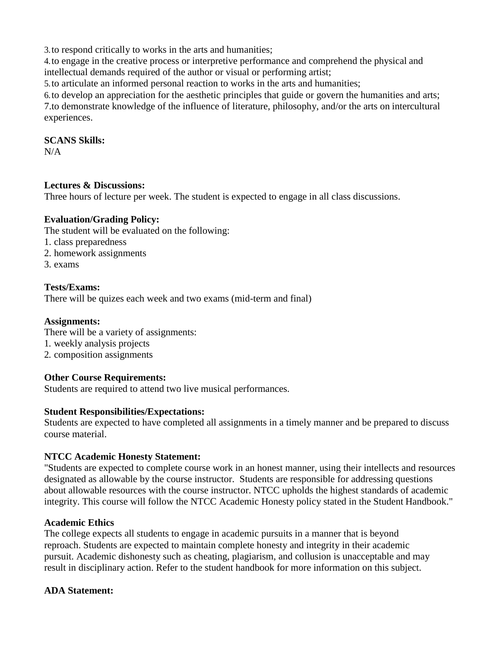3.to respond critically to works in the arts and humanities;

4.to engage in the creative process or interpretive performance and comprehend the physical and intellectual demands required of the author or visual or performing artist;

5.to articulate an informed personal reaction to works in the arts and humanities;

6.to develop an appreciation for the aesthetic principles that guide or govern the humanities and arts; 7.to demonstrate knowledge of the influence of literature, philosophy, and/or the arts on intercultural experiences.

# **SCANS Skills:**

 $N/A$ 

# **Lectures & Discussions:**

Three hours of lecture per week. The student is expected to engage in all class discussions.

# **Evaluation/Grading Policy:**

The student will be evaluated on the following:

- 1. class preparedness
- 2. homework assignments
- 3. exams

# **Tests/Exams:**

There will be quizes each week and two exams (mid-term and final)

#### **Assignments:**

There will be a variety of assignments: 1. weekly analysis projects 2. composition assignments

# **Other Course Requirements:**

Students are required to attend two live musical performances.

# **Student Responsibilities/Expectations:**

Students are expected to have completed all assignments in a timely manner and be prepared to discuss course material.

#### **NTCC Academic Honesty Statement:**

"Students are expected to complete course work in an honest manner, using their intellects and resources designated as allowable by the course instructor. Students are responsible for addressing questions about allowable resources with the course instructor. NTCC upholds the highest standards of academic integrity. This course will follow the NTCC Academic Honesty policy stated in the Student Handbook."

#### **Academic Ethics**

The college expects all students to engage in academic pursuits in a manner that is beyond reproach. Students are expected to maintain complete honesty and integrity in their academic pursuit. Academic dishonesty such as cheating, plagiarism, and collusion is unacceptable and may result in disciplinary action. Refer to the student handbook for more information on this subject.

# **ADA Statement:**